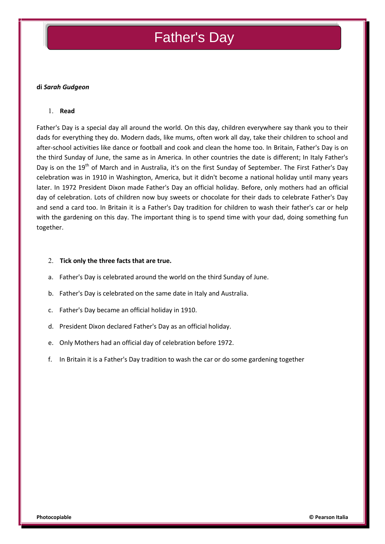# Father's Day

## **di** *Sarah Gudgeon*

#### **Read**

Father's Day is a special day all around the world. On this day, children everywhere say thank you to their dads for everything they do. Modern dads, like mums, often work all day, take their children to school and after-school activities like dance or football and cook and clean the home too. In Britain, Father's Day is on the third Sunday of June, the same as in America. In other countries the date is different; In Italy Father's Day is on the 19<sup>th</sup> of March and in Australia, it's on the first Sunday of September. The First Father's Day celebration was in 1910 in Washington, America, but it didn't become a national holiday until many years later. In 1972 President Dixon made Father's Day an official holiday. Before, only mothers had an official day of celebration. Lots of children now buy sweets or chocolate for their dads to celebrate Father's Day and send a card too. In Britain it is a Father's Day tradition for children to wash their father's car or help with the gardening on this day. The important thing is to spend time with your dad, doing something fun together.

#### **Tick only the three facts that are true.**

- a. Father's Day is celebrated around the world on the third Sunday of June.
- b. Father's Day is celebrated on the same date in Italy and Australia.
- c. Father's Day became an official holiday in 1910.
- d. President Dixon declared Father's Day as an official holiday.
- e. Only Mothers had an official day of celebration before 1972.
- f. In Britain it is a Father's Day tradition to wash the car or do some gardening together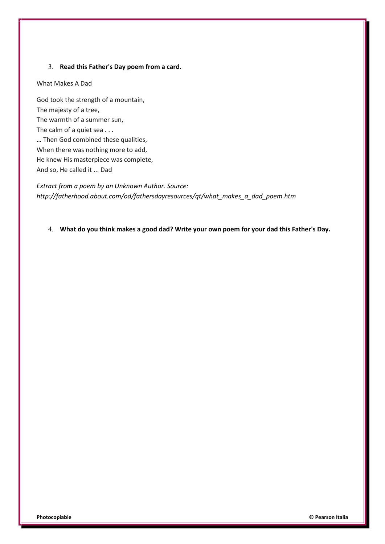# **Read this Father's Day poem from a card.**

## What Makes A Dad

God took the strength of a mountain, The majesty of a tree, The warmth of a summer sun, The calm of a quiet sea . . . … Then God combined these qualities, When there was nothing more to add, He knew His masterpiece was complete, And so, He called it ... Dad

*Extract from a poem by an Unknown Author. Source: http://fatherhood.about.com/od/fathersdayresources/qt/what\_makes\_a\_dad\_poem.htm*

**What do you think makes a good dad? Write your own poem for your dad this Father's Day.**